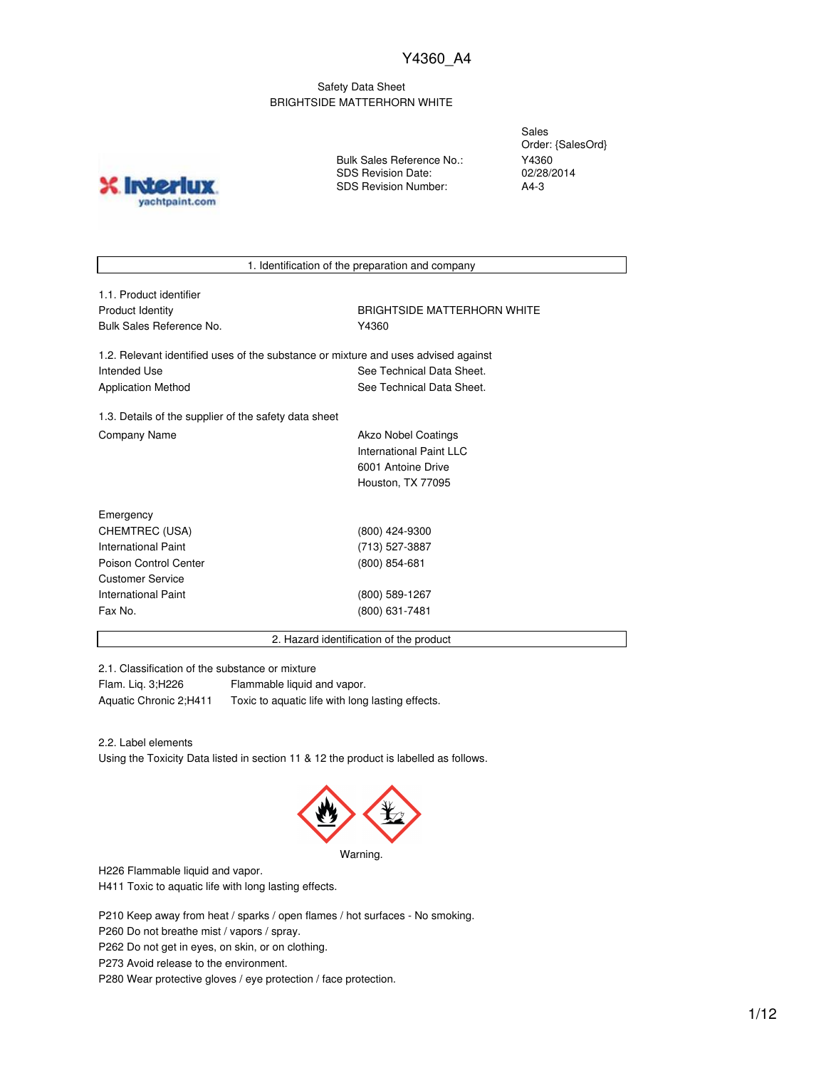### Safety Data Sheet BRIGHTSIDE MATTERHORN WHITE

**INTO** yachtpaint.com Bulk Sales Reference No.: SDS Revision Date: SDS Revision Number:

Sales Order: {SalesOrd} Y4360 02/28/2014 A4-3

1. Identification of the preparation and company

| 1.1. Product identifier  |
|--------------------------|
| Product Identity         |
| Bulk Sales Reference No. |

BRIGHTSIDE MATTERHORN WHITE Y4360

1.2. Relevant identified uses of the substance or mixture and uses advised against Intended Use **See Technical Data Sheet.** See Technical Data Sheet. Application Method **See Technical Data Sheet.** 

1.3. Details of the supplier of the safety data sheet Company Name **Akzo Nobel Coatings** Company Name

International Paint LLC 6001 Antoine Drive Houston, TX 77095

| Emergency             |                 |  |
|-----------------------|-----------------|--|
| CHEMTREC (USA)        | (800) 424-9300  |  |
| International Paint   | (713) 527-3887  |  |
| Poison Control Center | $(800)$ 854-681 |  |
| Customer Service      |                 |  |
| International Paint   | (800) 589-1267  |  |
| Fax No.               | (800) 631-7481  |  |
|                       |                 |  |

2. Hazard identification of the product

2.1. Classification of the substance or mixture

Flam. Liq. 3;H226 Flammable liquid and vapor. Aquatic Chronic 2;H411 Toxic to aquatic life with long lasting effects.

2.2. Label elements

Using the Toxicity Data listed in section 11 & 12 the product is labelled as follows.



Warning.

H226 Flammable liquid and vapor.

H411 Toxic to aquatic life with long lasting effects.

P210 Keep away from heat / sparks / open flames / hot surfaces - No smoking.

P260 Do not breathe mist / vapors / spray.

P262 Do not get in eyes, on skin, or on clothing.

P273 Avoid release to the environment.

P280 Wear protective gloves / eye protection / face protection.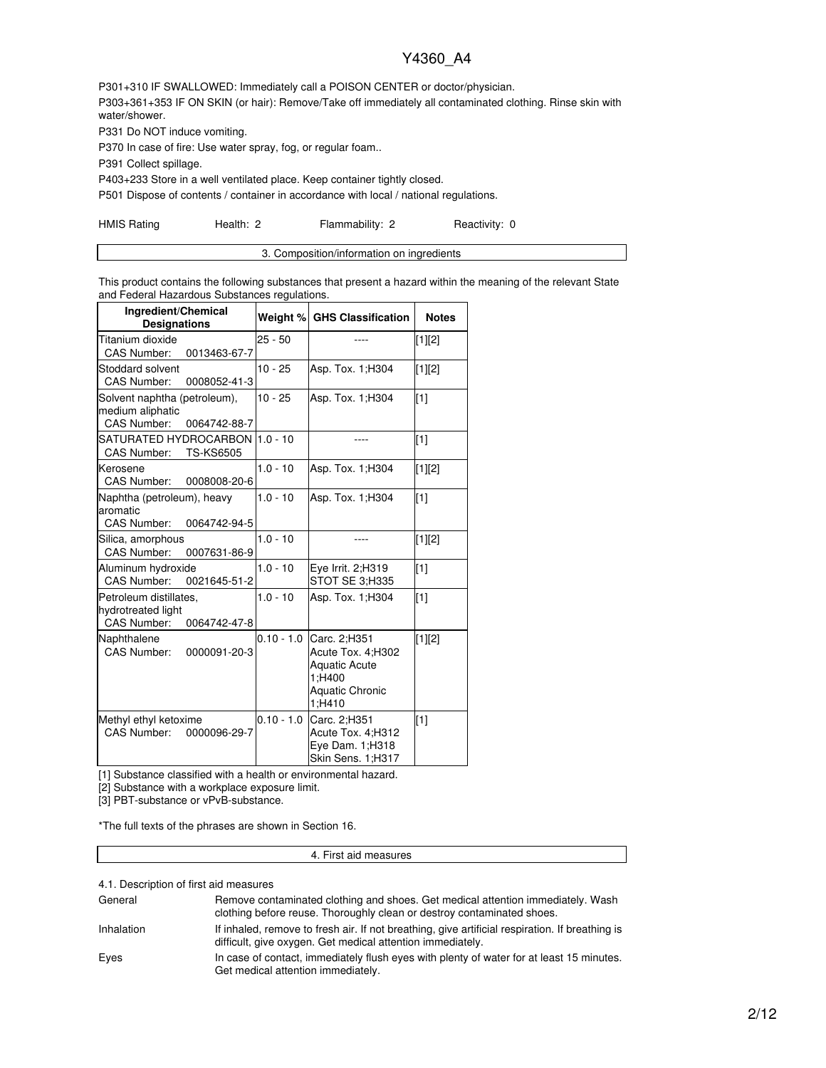P301+310 IF SWALLOWED: Immediately call a POISON CENTER or doctor/physician. P303+361+353 IF ON SKIN (or hair): Remove/Take off immediately all contaminated clothing. Rinse skin with water/shower.

P331 Do NOT induce vomiting.

P370 In case of fire: Use water spray, fog, or regular foam..

P391 Collect spillage.

P403+233 Store in a well ventilated place. Keep container tightly closed.

P501 Dispose of contents / container in accordance with local / national regulations.

HMIS Rating **Health: 2** Flammability: 2 Reactivity: 0

This product contains the following substances that present a hazard within the meaning of the relevant State and Federal Hazardous Substances regulations.

| Ingredient/Chemical<br><b>Designations</b>                                         | Weight %     | <b>GHS Classification</b>                                                                        | <b>Notes</b> |
|------------------------------------------------------------------------------------|--------------|--------------------------------------------------------------------------------------------------|--------------|
| Titanium dioxide<br>CAS Number:<br>0013463-67-7                                    | $25 - 50$    |                                                                                                  | [1][2]       |
| Stoddard solvent<br><b>CAS Number:</b><br>0008052-41-3                             | $10 - 25$    | Asp. Tox. 1; H304                                                                                | $[1][2]$     |
| Solvent naphtha (petroleum),<br>medium aliphatic<br>CAS Number:<br>0064742-88-7    | $10 - 25$    | Asp. Tox. 1; H304                                                                                | [1]          |
| SATURATED HYDROCARBON  1.0 - 10<br><b>TS-KS6505</b><br><b>CAS Number:</b>          |              |                                                                                                  | $\sqrt{11}$  |
| Kerosene<br><b>CAS Number:</b><br>0008008-20-6                                     | $1.0 - 10$   | Asp. Tox. 1; H304                                                                                | [1][2]       |
| Naphtha (petroleum), heavy<br>aromatic<br>CAS Number:<br>0064742-94-5              | $1.0 - 10$   | Asp. Tox. 1; H304                                                                                | [1]          |
| Silica, amorphous<br><b>CAS Number:</b><br>0007631-86-9                            | $1.0 - 10$   | ----                                                                                             | [1][2]       |
| Aluminum hydroxide<br><b>CAS Number:</b><br>0021645-51-2                           | $1.0 - 10$   | Eye Irrit. 2;H319<br>STOT SE 3;H335                                                              | [1]          |
| Petroleum distillates.<br>hydrotreated light<br><b>CAS Number:</b><br>0064742-47-8 | $1.0 - 10$   | Asp. Tox. 1; H304                                                                                | $\sqrt{11}$  |
| Naphthalene<br><b>CAS Number:</b><br>0000091-20-3                                  | $0.10 - 1.0$ | Carc. 2;H351<br>Acute Tox. 4;H302<br><b>Aquatic Acute</b><br>1:H400<br>Aquatic Chronic<br>1:H410 | [1][2]       |
| Methyl ethyl ketoxime<br>CAS Number:<br>0000096-29-7                               | $0.10 - 1.0$ | Carc. 2;H351<br>Acute Tox. 4;H312<br>Eye Dam. 1;H318<br>Skin Sens. 1;H317                        | $\sqrt{11}$  |

[1] Substance classified with a health or environmental hazard.

[2] Substance with a workplace exposure limit.

[3] PBT-substance or vPvB-substance.

\*The full texts of the phrases are shown in Section 16.

#### 4. First aid measures

4.1. Description of first aid measures

| General    | Remove contaminated clothing and shoes. Get medical attention immediately. Wash<br>clothing before reuse. Thoroughly clean or destroy contaminated shoes.     |
|------------|---------------------------------------------------------------------------------------------------------------------------------------------------------------|
| Inhalation | If inhaled, remove to fresh air. If not breathing, give artificial respiration. If breathing is<br>difficult, give oxygen. Get medical attention immediately. |
| Eyes       | In case of contact, immediately flush eyes with plenty of water for at least 15 minutes.<br>Get medical attention immediately.                                |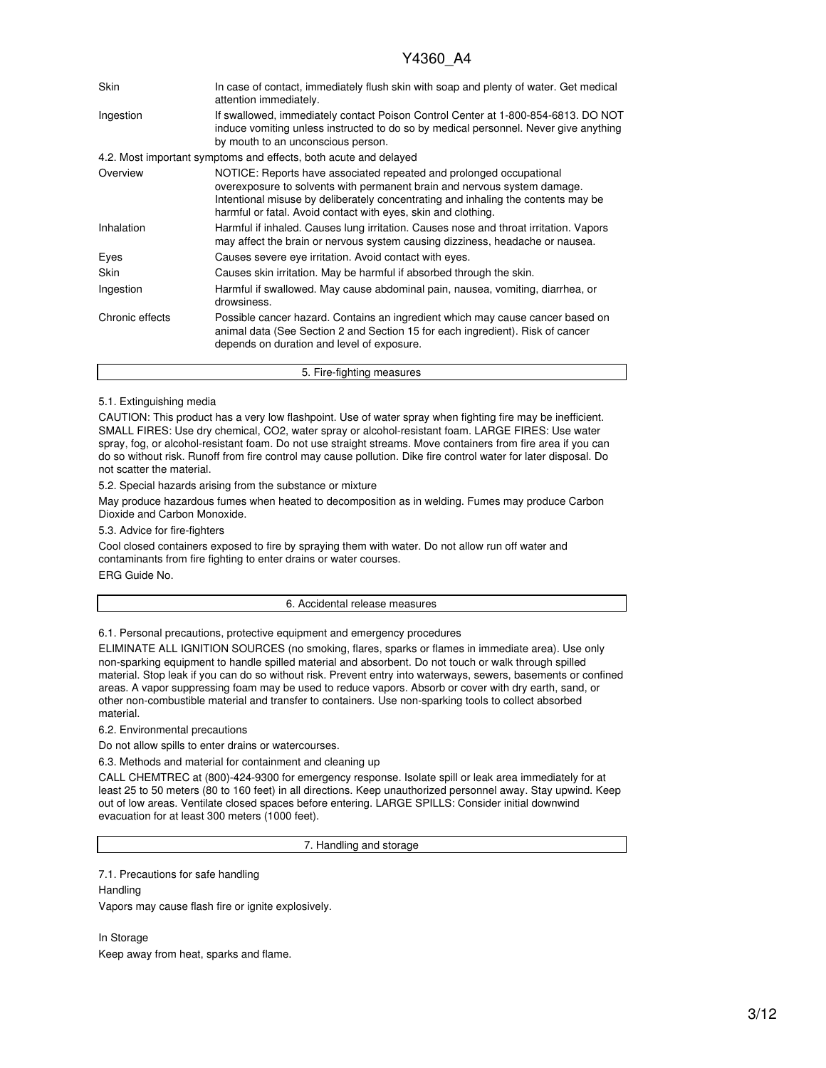| <b>Skin</b>     | In case of contact, immediately flush skin with soap and plenty of water. Get medical<br>attention immediately.                                                                                                                                                                                       |  |  |  |  |  |
|-----------------|-------------------------------------------------------------------------------------------------------------------------------------------------------------------------------------------------------------------------------------------------------------------------------------------------------|--|--|--|--|--|
| Ingestion       | If swallowed, immediately contact Poison Control Center at 1-800-854-6813. DO NOT<br>induce vomiting unless instructed to do so by medical personnel. Never give anything<br>by mouth to an unconscious person.                                                                                       |  |  |  |  |  |
|                 | 4.2. Most important symptoms and effects, both acute and delayed                                                                                                                                                                                                                                      |  |  |  |  |  |
| Overview        | NOTICE: Reports have associated repeated and prolonged occupational<br>overexposure to solvents with permanent brain and nervous system damage.<br>Intentional misuse by deliberately concentrating and inhaling the contents may be<br>harmful or fatal. Avoid contact with eyes, skin and clothing. |  |  |  |  |  |
| Inhalation      | Harmful if inhaled. Causes lung irritation. Causes nose and throat irritation. Vapors<br>may affect the brain or nervous system causing dizziness, headache or nausea.                                                                                                                                |  |  |  |  |  |
| Eyes            | Causes severe eye irritation. Avoid contact with eyes.                                                                                                                                                                                                                                                |  |  |  |  |  |
| Skin            | Causes skin irritation. May be harmful if absorbed through the skin.                                                                                                                                                                                                                                  |  |  |  |  |  |
| Ingestion       | Harmful if swallowed. May cause abdominal pain, nausea, vomiting, diarrhea, or<br>drowsiness.                                                                                                                                                                                                         |  |  |  |  |  |
| Chronic effects | Possible cancer hazard. Contains an ingredient which may cause cancer based on<br>animal data (See Section 2 and Section 15 for each ingredient). Risk of cancer<br>depends on duration and level of exposure.                                                                                        |  |  |  |  |  |
|                 | 5. Fire-fighting measures                                                                                                                                                                                                                                                                             |  |  |  |  |  |

### 5.1. Extinguishing media

CAUTION: This product has a very low flashpoint. Use of water spray when fighting fire may be inefficient. SMALL FIRES: Use dry chemical, CO2, water spray or alcohol-resistant foam. LARGE FIRES: Use water spray, fog, or alcohol-resistant foam. Do not use straight streams. Move containers from fire area if you can do so without risk. Runoff from fire control may cause pollution. Dike fire control water for later disposal. Do not scatter the material.

5.2. Special hazards arising from the substance or mixture

May produce hazardous fumes when heated to decomposition as in welding. Fumes may produce Carbon Dioxide and Carbon Monoxide.

5.3. Advice for fire-fighters

Cool closed containers exposed to fire by spraying them with water. Do not allow run off water and contaminants from fire fighting to enter drains or water courses. ERG Guide No.

#### 6. Accidental release measures

6.1. Personal precautions, protective equipment and emergency procedures

ELIMINATE ALL IGNITION SOURCES (no smoking, flares, sparks or flames in immediate area). Use only non-sparking equipment to handle spilled material and absorbent. Do not touch or walk through spilled material. Stop leak if you can do so without risk. Prevent entry into waterways, sewers, basements or confined areas. A vapor suppressing foam may be used to reduce vapors. Absorb or cover with dry earth, sand, or other non-combustible material and transfer to containers. Use non-sparking tools to collect absorbed material.

6.2. Environmental precautions

Do not allow spills to enter drains or watercourses.

6.3. Methods and material for containment and cleaning up

CALL CHEMTREC at (800)-424-9300 for emergency response. Isolate spill or leak area immediately for at least 25 to 50 meters (80 to 160 feet) in all directions. Keep unauthorized personnel away. Stay upwind. Keep out of low areas. Ventilate closed spaces before entering. LARGE SPILLS: Consider initial downwind evacuation for at least 300 meters (1000 feet).

7. Handling and storage

7.1. Precautions for safe handling

**Handling** Vapors may cause flash fire or ignite explosively.

In Storage Keep away from heat, sparks and flame.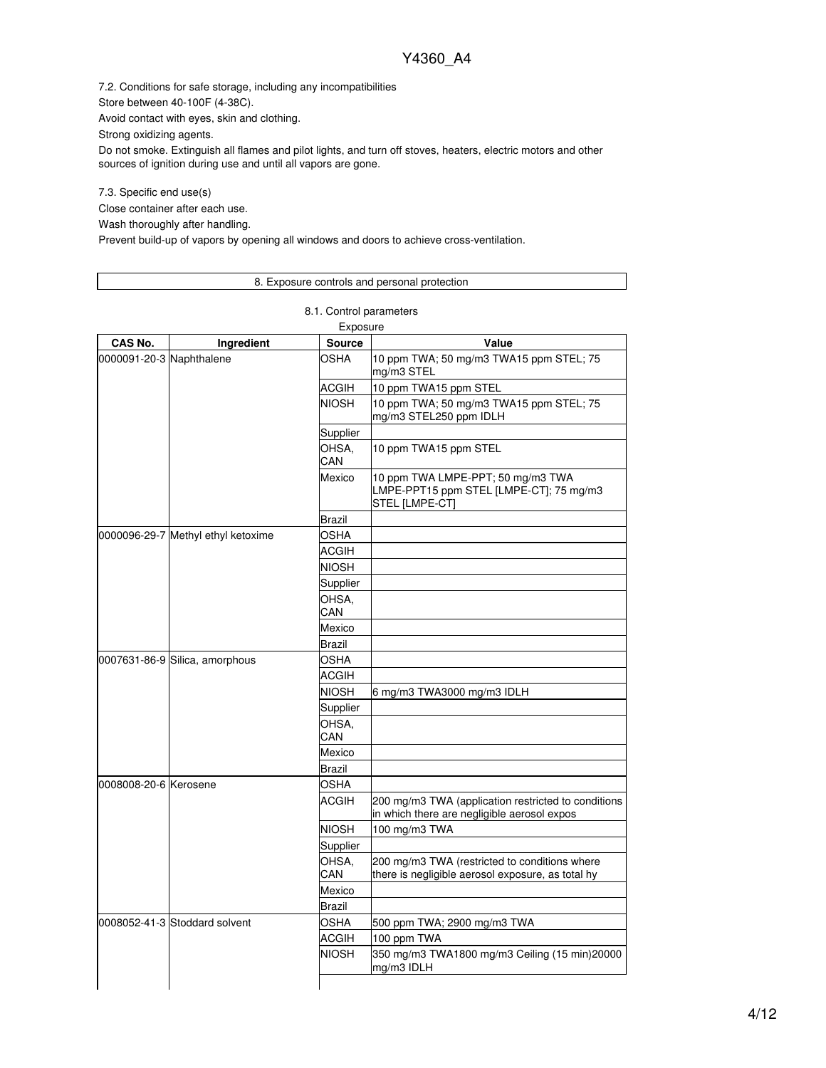7.2. Conditions for safe storage, including any incompatibilities

Store between 40-100F (4-38C).

Avoid contact with eyes, skin and clothing.

Strong oxidizing agents.

Do not smoke. Extinguish all flames and pilot lights, and turn off stoves, heaters, electric motors and other sources of ignition during use and until all vapors are gone.

7.3. Specific end use(s)

Close container after each use.

Wash thoroughly after handling.

Prevent build-up of vapors by opening all windows and doors to achieve cross-ventilation.

### 8. Exposure controls and personal protection

8.1. Control parameters

|                          |                                    | Exposure      |                                                                                                    |
|--------------------------|------------------------------------|---------------|----------------------------------------------------------------------------------------------------|
| CAS No.                  | Ingredient                         | <b>Source</b> | Value                                                                                              |
| 0000091-20-3 Naphthalene |                                    | OSHA          | 10 ppm TWA; 50 mg/m3 TWA15 ppm STEL; 75<br>mg/m3 STEL                                              |
|                          |                                    | ACGIH         | 10 ppm TWA15 ppm STEL                                                                              |
|                          |                                    | <b>NIOSH</b>  | 10 ppm TWA; 50 mg/m3 TWA15 ppm STEL; 75<br>mg/m3 STEL250 ppm IDLH                                  |
|                          |                                    | Supplier      |                                                                                                    |
|                          |                                    | OHSA,<br>CAN  | 10 ppm TWA15 ppm STEL                                                                              |
|                          |                                    | Mexico        | 10 ppm TWA LMPE-PPT; 50 mg/m3 TWA<br>LMPE-PPT15 ppm STEL [LMPE-CT]; 75 mg/m3<br>STEL [LMPE-CT]     |
|                          |                                    | Brazil        |                                                                                                    |
|                          | 0000096-29-7 Methyl ethyl ketoxime | <b>OSHA</b>   |                                                                                                    |
|                          |                                    | <b>ACGIH</b>  |                                                                                                    |
|                          |                                    | NIOSH         |                                                                                                    |
|                          |                                    | Supplier      |                                                                                                    |
|                          |                                    | OHSA,<br>CAN  |                                                                                                    |
|                          |                                    | Mexico        |                                                                                                    |
|                          |                                    | Brazil        |                                                                                                    |
|                          | 0007631-86-9 Silica, amorphous     | OSHA          |                                                                                                    |
|                          |                                    | ACGIH         |                                                                                                    |
|                          |                                    | NIOSH         | 6 mg/m3 TWA3000 mg/m3 IDLH                                                                         |
|                          |                                    | Supplier      |                                                                                                    |
|                          |                                    | OHSA,<br>CAN  |                                                                                                    |
|                          |                                    | Mexico        |                                                                                                    |
|                          |                                    | Brazil        |                                                                                                    |
| 0008008-20-6 Kerosene    |                                    | OSHA          |                                                                                                    |
|                          |                                    | <b>ACGIH</b>  | 200 mg/m3 TWA (application restricted to conditions<br>in which there are negligible aerosol expos |
|                          |                                    | <b>NIOSH</b>  | 100 mg/m3 TWA                                                                                      |
|                          |                                    | Supplier      |                                                                                                    |
|                          |                                    | OHSA,<br>CAN  | 200 mg/m3 TWA (restricted to conditions where<br>there is negligible aerosol exposure, as total hy |
|                          |                                    | Mexico        |                                                                                                    |
|                          |                                    | Brazil        |                                                                                                    |
|                          | 0008052-41-3 Stoddard solvent      | OSHA          | 500 ppm TWA; 2900 mg/m3 TWA                                                                        |
|                          |                                    | ACGIH         | 100 ppm TWA                                                                                        |
|                          |                                    | <b>NIOSH</b>  | 350 mg/m3 TWA1800 mg/m3 Ceiling (15 min)20000<br>mg/m3 IDLH                                        |
|                          |                                    |               |                                                                                                    |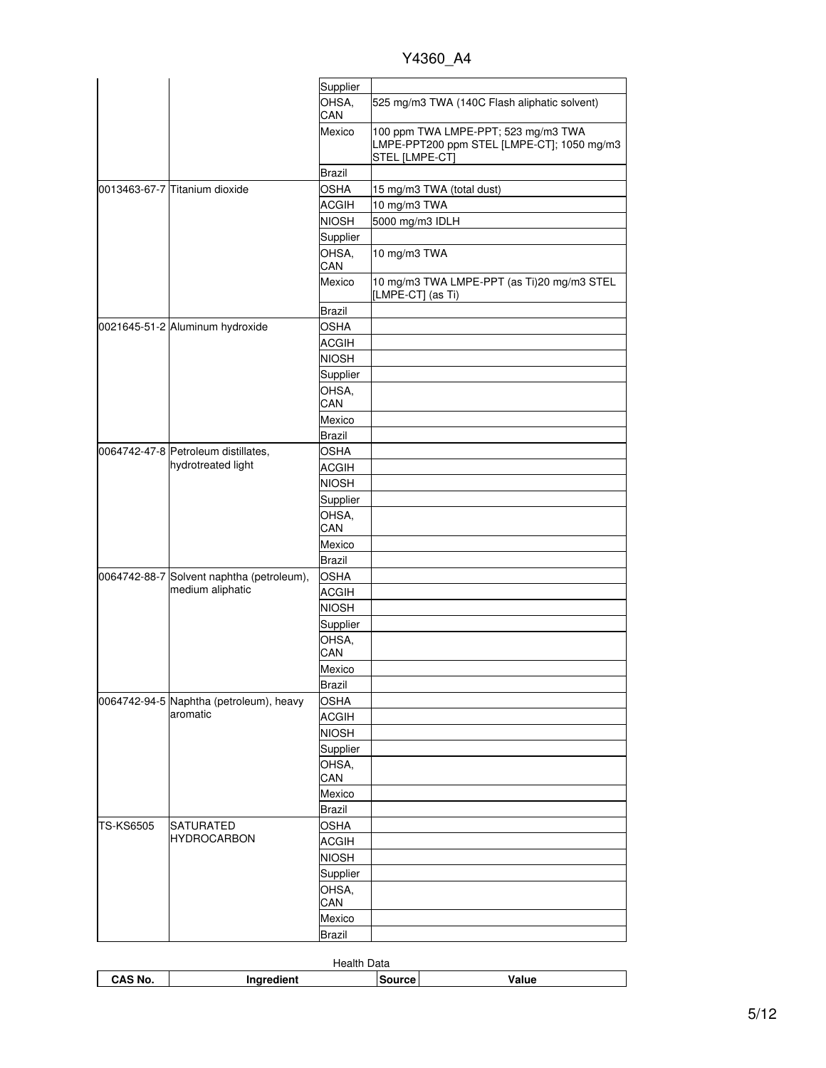|           |                                           | Supplier              |                                                                                                     |
|-----------|-------------------------------------------|-----------------------|-----------------------------------------------------------------------------------------------------|
|           |                                           | OHSA,<br>CAN          | 525 mg/m3 TWA (140C Flash aliphatic solvent)                                                        |
|           |                                           | Mexico                | 100 ppm TWA LMPE-PPT; 523 mg/m3 TWA<br>LMPE-PPT200 ppm STEL [LMPE-CT]; 1050 mg/m3<br>STEL [LMPE-CT] |
|           |                                           | <b>Brazil</b>         |                                                                                                     |
|           | 0013463-67-7 Titanium dioxide             | <b>OSHA</b>           | 15 mg/m3 TWA (total dust)                                                                           |
|           |                                           | <b>ACGIH</b>          | 10 mg/m3 TWA                                                                                        |
|           |                                           | <b>NIOSH</b>          | 5000 mg/m3 IDLH                                                                                     |
|           |                                           | Supplier              |                                                                                                     |
|           |                                           | OHSA,<br>CAN          | 10 mg/m3 TWA                                                                                        |
|           |                                           | Mexico                | 10 mg/m3 TWA LMPE-PPT (as Ti)20 mg/m3 STEL<br>[LMPE-CT] (as Ti)                                     |
|           |                                           |                       |                                                                                                     |
|           | 0021645-51-2 Aluminum hydroxide           | Brazil<br><b>OSHA</b> |                                                                                                     |
|           |                                           | <b>ACGIH</b>          |                                                                                                     |
|           |                                           | <b>NIOSH</b>          |                                                                                                     |
|           |                                           | Supplier              |                                                                                                     |
|           |                                           | OHSA,                 |                                                                                                     |
|           |                                           | CAN                   |                                                                                                     |
|           |                                           | Mexico                |                                                                                                     |
|           |                                           | Brazil                |                                                                                                     |
|           | 0064742-47-8 Petroleum distillates,       | <b>OSHA</b>           |                                                                                                     |
|           | hydrotreated light                        | <b>ACGIH</b>          |                                                                                                     |
|           |                                           | <b>NIOSH</b>          |                                                                                                     |
|           |                                           | Supplier              |                                                                                                     |
|           |                                           | OHSA,<br>CAN          |                                                                                                     |
|           |                                           | Mexico                |                                                                                                     |
|           |                                           | Brazil                |                                                                                                     |
|           | 0064742-88-7 Solvent naphtha (petroleum), | <b>OSHA</b>           |                                                                                                     |
|           | medium aliphatic                          | <b>ACGIH</b>          |                                                                                                     |
|           |                                           | <b>NIOSH</b>          |                                                                                                     |
|           |                                           | Supplier              |                                                                                                     |
|           |                                           | OHSA,                 |                                                                                                     |
|           |                                           | CAN                   |                                                                                                     |
|           |                                           | Mexico                |                                                                                                     |
|           |                                           | <b>Brazil</b>         |                                                                                                     |
|           | 0064742-94-5 Naphtha (petroleum), heavy   | <b>OSHA</b>           |                                                                                                     |
|           | aromatic                                  | <b>ACGIH</b>          |                                                                                                     |
|           |                                           | <b>NIOSH</b>          |                                                                                                     |
|           |                                           | Supplier              |                                                                                                     |
|           |                                           | OHSA,                 |                                                                                                     |
|           |                                           | CAN                   |                                                                                                     |
|           |                                           | Mexico                |                                                                                                     |
|           |                                           | <b>Brazil</b>         |                                                                                                     |
| TS-KS6505 | SATURATED<br><b>HYDROCARBON</b>           | <b>OSHA</b>           |                                                                                                     |
|           |                                           | <b>ACGIH</b>          |                                                                                                     |
|           |                                           | <b>NIOSH</b>          |                                                                                                     |
|           |                                           | Supplier              |                                                                                                     |
|           |                                           | OHSA,<br>CAN          |                                                                                                     |
|           |                                           | Mexico                |                                                                                                     |
|           |                                           | <b>Brazil</b>         |                                                                                                     |
|           |                                           |                       |                                                                                                     |

| ')ata<br>Heal. |                           |  |  |  |  |  |  |
|----------------|---------------------------|--|--|--|--|--|--|
| CAS No.        | Value<br>dient.<br>------ |  |  |  |  |  |  |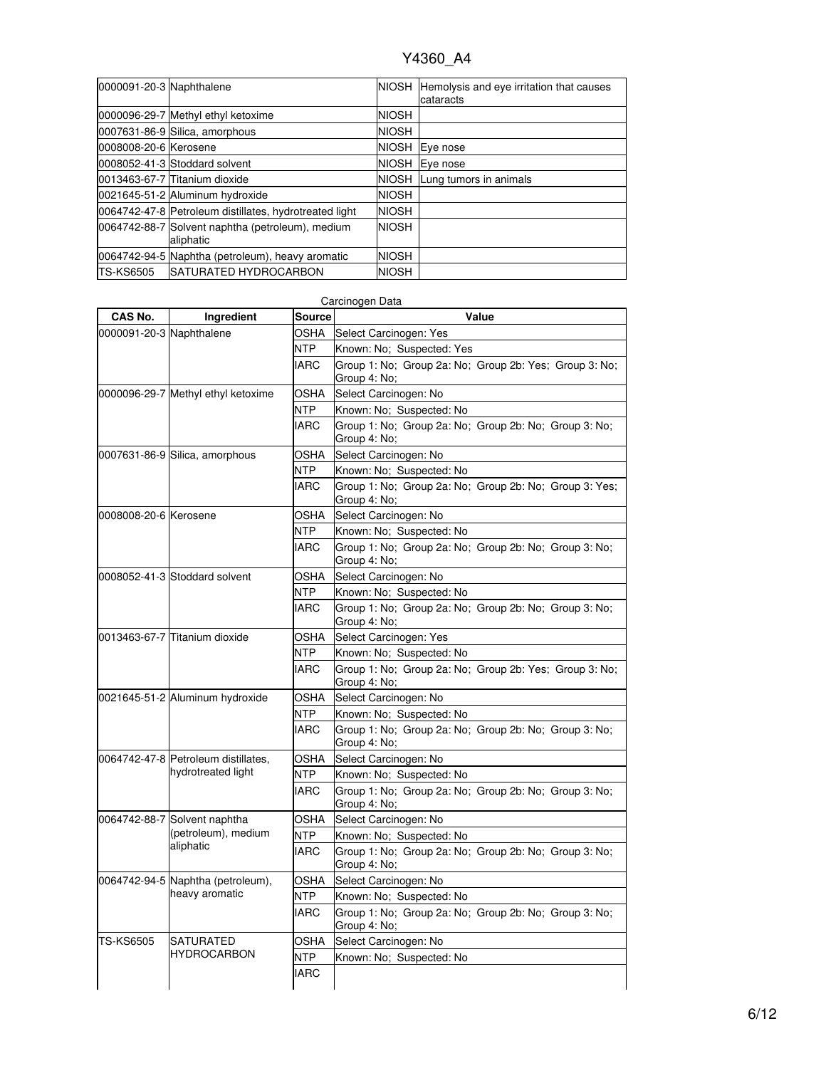| 0000091-20-3 Naphthalene |                                                               |              | NIOSH Hemolysis and eye irritation that causes<br>cataracts |
|--------------------------|---------------------------------------------------------------|--------------|-------------------------------------------------------------|
|                          | 0000096-29-7 Methyl ethyl ketoxime                            | <b>NIOSH</b> |                                                             |
|                          | 0007631-86-9 Silica, amorphous                                | <b>NIOSH</b> |                                                             |
| 0008008-20-6 Kerosene    |                                                               | <b>NIOSH</b> | Eye nose                                                    |
|                          | 0008052-41-3 Stoddard solvent                                 | <b>NIOSH</b> | Eye nose                                                    |
|                          | 0013463-67-7 Titanium dioxide                                 |              | NIOSH Lung tumors in animals                                |
|                          | 0021645-51-2 Aluminum hydroxide                               | <b>NIOSH</b> |                                                             |
|                          | 0064742-47-8 Petroleum distillates, hydrotreated light        | <b>NIOSH</b> |                                                             |
|                          | 0064742-88-7 Solvent naphtha (petroleum), medium<br>aliphatic | <b>NIOSH</b> |                                                             |
|                          | 0064742-94-5 Naphtha (petroleum), heavy aromatic              | <b>NIOSH</b> |                                                             |
| <b>TS-KS6505</b>         | <b>ISATURATED HYDROCARBON</b>                                 | <b>NIOSH</b> |                                                             |

|                          |                                                           |               | Carcinogen Data                                                        |  |  |  |  |
|--------------------------|-----------------------------------------------------------|---------------|------------------------------------------------------------------------|--|--|--|--|
| CAS No.                  | Ingredient                                                | <b>Source</b> | Value                                                                  |  |  |  |  |
| 0000091-20-3 Naphthalene |                                                           | OSHA          | Select Carcinogen: Yes                                                 |  |  |  |  |
|                          |                                                           | NTP           | Known: No; Suspected: Yes                                              |  |  |  |  |
|                          |                                                           | <b>IARC</b>   | Group 1: No: Group 2a: No: Group 2b: Yes: Group 3: No:<br>Group 4: No; |  |  |  |  |
|                          | 0000096-29-7 Methyl ethyl ketoxime                        | OSHA          | Select Carcinogen: No                                                  |  |  |  |  |
|                          |                                                           | <b>NTP</b>    | Known: No; Suspected: No                                               |  |  |  |  |
|                          |                                                           | <b>IARC</b>   | Group 1: No; Group 2a: No; Group 2b: No; Group 3: No;<br>Group 4: No;  |  |  |  |  |
|                          | 0007631-86-9 Silica, amorphous                            | <b>OSHA</b>   | Select Carcinogen: No                                                  |  |  |  |  |
|                          |                                                           | <b>NTP</b>    | Known: No; Suspected: No                                               |  |  |  |  |
|                          |                                                           | <b>IARC</b>   | Group 1: No; Group 2a: No; Group 2b: No; Group 3: Yes;<br>Group 4: No; |  |  |  |  |
| 0008008-20-6 Kerosene    |                                                           | <b>OSHA</b>   | Select Carcinogen: No                                                  |  |  |  |  |
|                          |                                                           | <b>NTP</b>    | Known: No; Suspected: No                                               |  |  |  |  |
|                          |                                                           | <b>IARC</b>   | Group 1: No; Group 2a: No; Group 2b: No; Group 3: No;<br>Group 4: No;  |  |  |  |  |
|                          | 0008052-41-3 Stoddard solvent                             | OSHA          | Select Carcinogen: No                                                  |  |  |  |  |
|                          |                                                           | NTP           | Known: No; Suspected: No                                               |  |  |  |  |
|                          |                                                           | <b>IARC</b>   | Group 1: No; Group 2a: No; Group 2b: No; Group 3: No;<br>Group 4: No;  |  |  |  |  |
|                          | 0013463-67-7 Titanium dioxide                             | OSHA          | Select Carcinogen: Yes                                                 |  |  |  |  |
|                          |                                                           | NTP           | Known: No: Suspected: No                                               |  |  |  |  |
|                          |                                                           | <b>IARC</b>   | Group 1: No; Group 2a: No; Group 2b: Yes; Group 3: No;<br>Group 4: No; |  |  |  |  |
|                          | 0021645-51-2 Aluminum hydroxide                           | <b>OSHA</b>   | Select Carcinogen: No                                                  |  |  |  |  |
|                          |                                                           | <b>NTP</b>    | Known: No; Suspected: No                                               |  |  |  |  |
|                          |                                                           | <b>IARC</b>   | Group 1: No; Group 2a: No; Group 2b: No; Group 3: No;<br>Group 4: No;  |  |  |  |  |
|                          | 0064742-47-8 Petroleum distillates,<br>hydrotreated light | OSHA          | Select Carcinogen: No                                                  |  |  |  |  |
|                          |                                                           | <b>NTP</b>    | Known: No; Suspected: No                                               |  |  |  |  |
|                          |                                                           | <b>IARC</b>   | Group 1: No; Group 2a: No; Group 2b: No; Group 3: No;<br>Group 4: No;  |  |  |  |  |
|                          | 0064742-88-7 Solvent naphtha                              | OSHA          | Select Carcinogen: No                                                  |  |  |  |  |
|                          | (petroleum), medium                                       | NTP           | Known: No; Suspected: No                                               |  |  |  |  |
|                          | aliphatic                                                 | <b>IARC</b>   | Group 1: No; Group 2a: No; Group 2b: No; Group 3: No;<br>Group 4: No;  |  |  |  |  |
|                          | 0064742-94-5 Naphtha (petroleum),<br>heavy aromatic       | OSHA          | Select Carcinogen: No                                                  |  |  |  |  |
|                          |                                                           | <b>NTP</b>    | Known: No; Suspected: No                                               |  |  |  |  |
|                          |                                                           | <b>IARC</b>   | Group 1: No; Group 2a: No; Group 2b: No; Group 3: No;<br>Group 4: No;  |  |  |  |  |
| <b>TS-KS6505</b>         | <b>SATURATED</b>                                          | <b>OSHA</b>   | Select Carcinogen: No                                                  |  |  |  |  |
|                          | <b>HYDROCARBON</b>                                        | <b>NTP</b>    | Known: No; Suspected: No                                               |  |  |  |  |
|                          |                                                           | <b>IARC</b>   |                                                                        |  |  |  |  |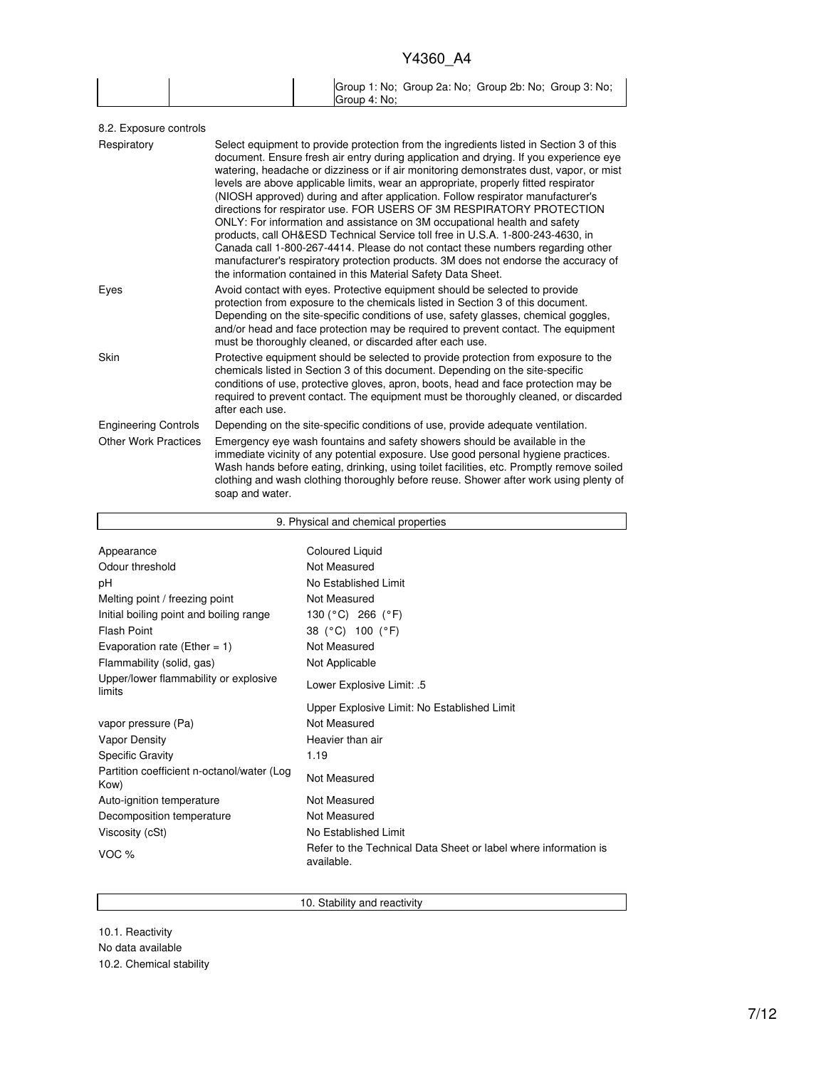|  |              | Group 1: No; Group 2a: No; Group 2b: No; Group 3: No; |  |
|--|--------------|-------------------------------------------------------|--|
|  | Group 4: No: |                                                       |  |

| Select equipment to provide protection from the ingredients listed in Section 3 of this<br>document. Ensure fresh air entry during application and drying. If you experience eye<br>watering, headache or dizziness or if air monitoring demonstrates dust, vapor, or mist<br>levels are above applicable limits, wear an appropriate, properly fitted respirator<br>(NIOSH approved) during and after application. Follow respirator manufacturer's<br>directions for respirator use. FOR USERS OF 3M RESPIRATORY PROTECTION<br>ONLY: For information and assistance on 3M occupational health and safety<br>products, call OH&ESD Technical Service toll free in U.S.A. 1-800-243-4630, in<br>Canada call 1-800-267-4414. Please do not contact these numbers regarding other<br>manufacturer's respiratory protection products. 3M does not endorse the accuracy of<br>the information contained in this Material Safety Data Sheet. |
|-----------------------------------------------------------------------------------------------------------------------------------------------------------------------------------------------------------------------------------------------------------------------------------------------------------------------------------------------------------------------------------------------------------------------------------------------------------------------------------------------------------------------------------------------------------------------------------------------------------------------------------------------------------------------------------------------------------------------------------------------------------------------------------------------------------------------------------------------------------------------------------------------------------------------------------------|
| Avoid contact with eyes. Protective equipment should be selected to provide<br>protection from exposure to the chemicals listed in Section 3 of this document.<br>Depending on the site-specific conditions of use, safety glasses, chemical goggles,<br>and/or head and face protection may be required to prevent contact. The equipment<br>must be thoroughly cleaned, or discarded after each use.                                                                                                                                                                                                                                                                                                                                                                                                                                                                                                                                  |
| Protective equipment should be selected to provide protection from exposure to the<br>chemicals listed in Section 3 of this document. Depending on the site-specific<br>conditions of use, protective gloves, apron, boots, head and face protection may be<br>required to prevent contact. The equipment must be thoroughly cleaned, or discarded<br>after each use.                                                                                                                                                                                                                                                                                                                                                                                                                                                                                                                                                                   |
| Depending on the site-specific conditions of use, provide adequate ventilation.                                                                                                                                                                                                                                                                                                                                                                                                                                                                                                                                                                                                                                                                                                                                                                                                                                                         |
| Emergency eye wash fountains and safety showers should be available in the<br>immediate vicinity of any potential exposure. Use good personal hygiene practices.<br>Wash hands before eating, drinking, using toilet facilities, etc. Promptly remove soiled<br>clothing and wash clothing thoroughly before reuse. Shower after work using plenty of<br>soap and water.                                                                                                                                                                                                                                                                                                                                                                                                                                                                                                                                                                |
|                                                                                                                                                                                                                                                                                                                                                                                                                                                                                                                                                                                                                                                                                                                                                                                                                                                                                                                                         |

| 9. Physical and chemical properties                |                                                                               |  |  |
|----------------------------------------------------|-------------------------------------------------------------------------------|--|--|
|                                                    |                                                                               |  |  |
| Appearance                                         | <b>Coloured Liquid</b>                                                        |  |  |
| Odour threshold                                    | Not Measured                                                                  |  |  |
| рH                                                 | No Established Limit                                                          |  |  |
| Melting point / freezing point                     | Not Measured                                                                  |  |  |
| Initial boiling point and boiling range            | 130 (°C) 266 (°F)                                                             |  |  |
| <b>Flash Point</b>                                 | 38 (°C) 100 (°F)                                                              |  |  |
| Evaporation rate (Ether = 1)                       | Not Measured                                                                  |  |  |
| Flammability (solid, gas)                          | Not Applicable                                                                |  |  |
| Upper/lower flammability or explosive<br>limits    | Lower Explosive Limit: .5                                                     |  |  |
|                                                    | Upper Explosive Limit: No Established Limit                                   |  |  |
| vapor pressure (Pa)                                | Not Measured                                                                  |  |  |
| <b>Vapor Density</b>                               | Heavier than air                                                              |  |  |
| <b>Specific Gravity</b>                            | 1.19                                                                          |  |  |
| Partition coefficient n-octanol/water (Log<br>Kow) | Not Measured                                                                  |  |  |
| Auto-ignition temperature                          | Not Measured                                                                  |  |  |
| Decomposition temperature                          | Not Measured                                                                  |  |  |
| Viscosity (cSt)                                    | No Established Limit                                                          |  |  |
| VOC $%$                                            | Refer to the Technical Data Sheet or label where information is<br>available. |  |  |

10. Stability and reactivity

10.1. Reactivity No data available 10.2. Chemical stability

Г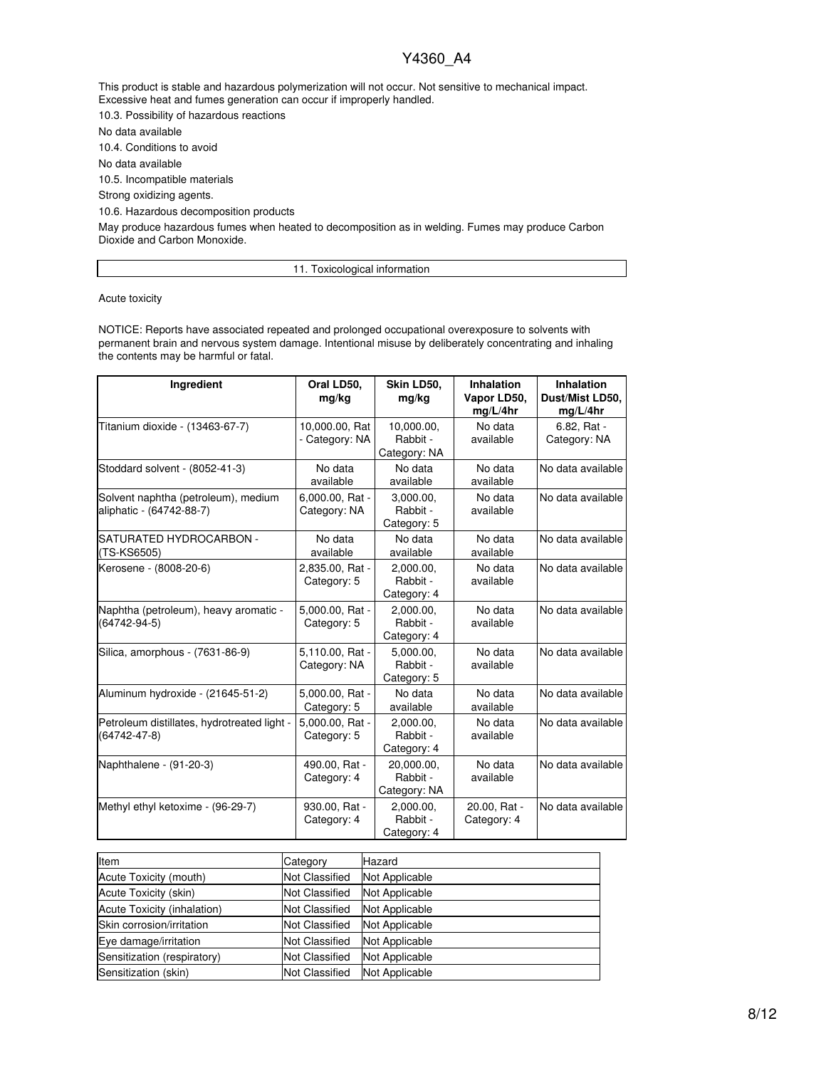This product is stable and hazardous polymerization will not occur. Not sensitive to mechanical impact. Excessive heat and fumes generation can occur if improperly handled.

10.3. Possibility of hazardous reactions

No data available

10.4. Conditions to avoid

No data available

10.5. Incompatible materials

Strong oxidizing agents.

10.6. Hazardous decomposition products

May produce hazardous fumes when heated to decomposition as in welding. Fumes may produce Carbon Dioxide and Carbon Monoxide.

11. Toxicological information

Acute toxicity

NOTICE: Reports have associated repeated and prolonged occupational overexposure to solvents with permanent brain and nervous system damage. Intentional misuse by deliberately concentrating and inhaling the contents may be harmful or fatal.

| <b>Ingredient</b>                                                 | Oral LD50,<br>mg/kg              | Skin LD50,<br>mg/kg                    | <b>Inhalation</b><br>Vapor LD50,<br>mq/L/4hr | <b>Inhalation</b><br>Dust/Mist LD50,<br>mg/L/4hr |
|-------------------------------------------------------------------|----------------------------------|----------------------------------------|----------------------------------------------|--------------------------------------------------|
| Titanium dioxide - (13463-67-7)                                   | 10,000.00, Rat<br>- Category: NA | 10,000.00,<br>Rabbit -<br>Category: NA | No data<br>available                         | 6.82, Rat -<br>Category: NA                      |
| Stoddard solvent - (8052-41-3)                                    | No data<br>available             | No data<br>available                   | No data<br>available                         | No data available                                |
| Solvent naphtha (petroleum), medium<br>aliphatic - (64742-88-7)   | 6,000.00, Rat -<br>Category: NA  | 3,000.00,<br>Rabbit -<br>Category: 5   | No data<br>available                         | No data available                                |
| SATURATED HYDROCARBON -<br>(TS-KS6505)                            | No data<br>available             | No data<br>available                   | No data<br>available                         | No data available                                |
| Kerosene - (8008-20-6)                                            | 2,835.00, Rat -<br>Category: 5   | 2,000.00,<br>Rabbit -<br>Category: 4   | No data<br>available                         | No data available                                |
| Naphtha (petroleum), heavy aromatic -<br>$(64742 - 94 - 5)$       | 5,000.00, Rat -<br>Category: 5   | 2,000.00,<br>Rabbit -<br>Category: 4   | No data<br>available                         | No data available                                |
| Silica, amorphous - (7631-86-9)                                   | 5,110.00, Rat -<br>Category: NA  | 5.000.00.<br>Rabbit -<br>Category: 5   | No data<br>available                         | No data available                                |
| Aluminum hydroxide - (21645-51-2)                                 | 5,000.00, Rat -<br>Category: 5   | No data<br>available                   | No data<br>available                         | No data available                                |
| Petroleum distillates, hydrotreated light -<br>$(64742 - 47 - 8)$ | 5,000.00, Rat -<br>Category: 5   | 2,000.00,<br>Rabbit -<br>Category: 4   | No data<br>available                         | No data available                                |
| Naphthalene - (91-20-3)                                           | 490.00, Rat -<br>Category: 4     | 20.000.00.<br>Rabbit -<br>Category: NA | No data<br>available                         | No data available                                |
| Methyl ethyl ketoxime - (96-29-7)                                 | 930.00, Rat -<br>Category: 4     | 2,000.00,<br>Rabbit -<br>Category: 4   | 20.00, Rat -<br>Category: 4                  | No data available                                |

| Item                        | Category              | Hazard         |
|-----------------------------|-----------------------|----------------|
| Acute Toxicity (mouth)      | <b>Not Classified</b> | Not Applicable |
| Acute Toxicity (skin)       | <b>Not Classified</b> | Not Applicable |
| Acute Toxicity (inhalation) | <b>Not Classified</b> | Not Applicable |
| Skin corrosion/irritation   | <b>Not Classified</b> | Not Applicable |
| Eye damage/irritation       | <b>Not Classified</b> | Not Applicable |
| Sensitization (respiratory) | <b>Not Classified</b> | Not Applicable |
| Sensitization (skin)        | <b>Not Classified</b> | Not Applicable |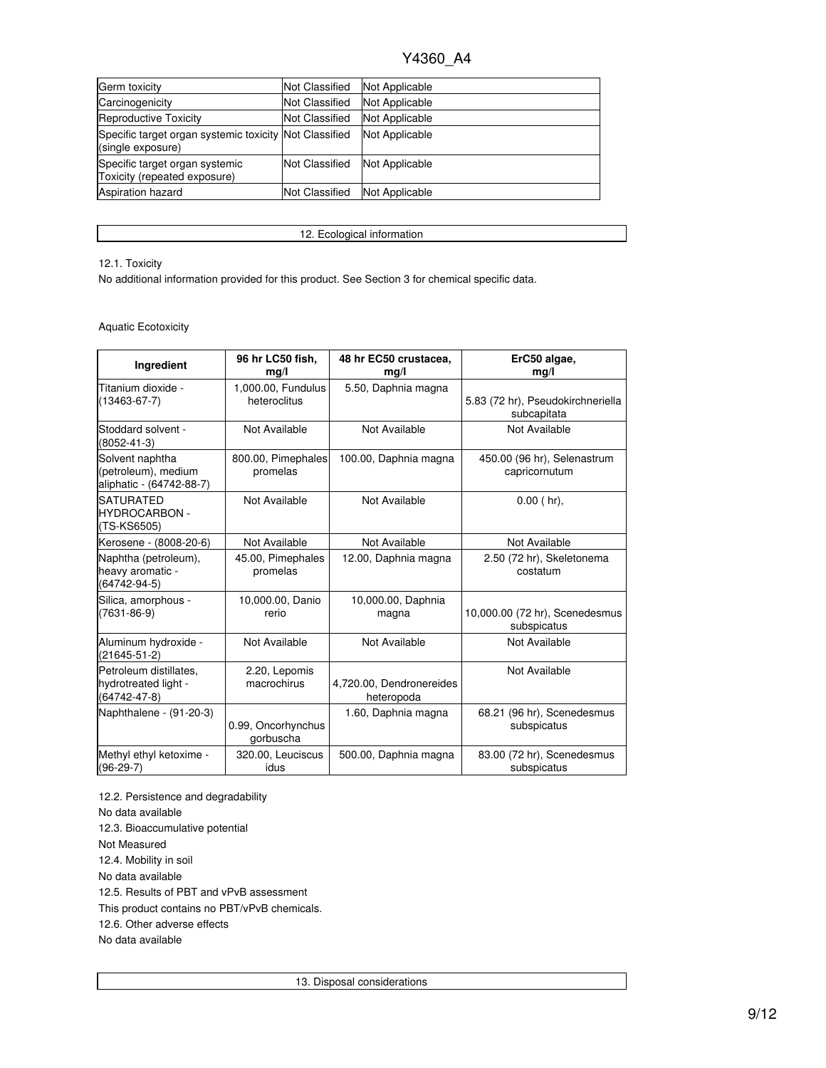| Germ toxicity                                                               | <b>Not Classified</b> | Not Applicable |
|-----------------------------------------------------------------------------|-----------------------|----------------|
| Carcinogenicity                                                             | <b>Not Classified</b> | Not Applicable |
| Reproductive Toxicity                                                       | <b>Not Classified</b> | Not Applicable |
| Specific target organ systemic toxicity Not Classified<br>(single exposure) |                       | Not Applicable |
| Specific target organ systemic<br>Toxicity (repeated exposure)              | <b>Not Classified</b> | Not Applicable |
| <b>Aspiration hazard</b>                                                    | <b>Not Classified</b> | Not Applicable |

12. Ecological information

### 12.1. Toxicity

No additional information provided for this product. See Section 3 for chemical specific data.

### Aquatic Ecotoxicity

| Ingredient                                                         | 96 hr LC50 fish,<br>mg/l           | 48 hr EC50 crustacea,<br>mg/l          | ErC50 algae,<br>mg/l                             |
|--------------------------------------------------------------------|------------------------------------|----------------------------------------|--------------------------------------------------|
| Titanium dioxide -<br>$(13463 - 67 - 7)$                           | 1,000.00, Fundulus<br>heteroclitus | 5.50, Daphnia magna                    | 5.83 (72 hr), Pseudokirchneriella<br>subcapitata |
| Stoddard solvent -<br>$(8052 - 41 - 3)$                            | Not Available                      | Not Available                          | Not Available                                    |
| Solvent naphtha<br>(petroleum), medium<br>aliphatic - (64742-88-7) | 800.00, Pimephales<br>promelas     | 100.00, Daphnia magna                  | 450.00 (96 hr), Selenastrum<br>capricornutum     |
| <b>SATURATED</b><br><b>HYDROCARBON -</b><br>(TS-KS6505)            | Not Available                      | Not Available                          | $0.00$ (hr).                                     |
| Kerosene - (8008-20-6)                                             | Not Available                      | Not Available                          | Not Available                                    |
| Naphtha (petroleum),<br>heavy aromatic -<br>$(64742 - 94 - 5)$     | 45.00, Pimephales<br>promelas      | 12.00, Daphnia magna                   | 2.50 (72 hr), Skeletonema<br>costatum            |
| Silica, amorphous -<br>$(7631 - 86 - 9)$                           | 10,000.00, Danio<br>rerio          | 10,000.00, Daphnia<br>magna            | 10,000.00 (72 hr), Scenedesmus<br>subspicatus    |
| Aluminum hydroxide -<br>$(21645 - 51 - 2)$                         | Not Available                      | Not Available                          | Not Available                                    |
| Petroleum distillates.<br>hydrotreated light -<br>(64742-47-8)     | 2.20, Lepomis<br>macrochirus       | 4,720.00, Dendronereides<br>heteropoda | Not Available                                    |
| Naphthalene - (91-20-3)                                            | 0.99, Oncorhynchus<br>gorbuscha    | 1.60, Daphnia magna                    | 68.21 (96 hr), Scenedesmus<br>subspicatus        |
| Methyl ethyl ketoxime -<br>$(96-29-7)$                             | 320.00, Leuciscus<br>idus          | 500.00, Daphnia magna                  | 83.00 (72 hr), Scenedesmus<br>subspicatus        |

12.2. Persistence and degradability No data available 12.3. Bioaccumulative potential Not Measured 12.4. Mobility in soil No data available 12.5. Results of PBT and vPvB assessment This product contains no PBT/vPvB chemicals. 12.6. Other adverse effects No data available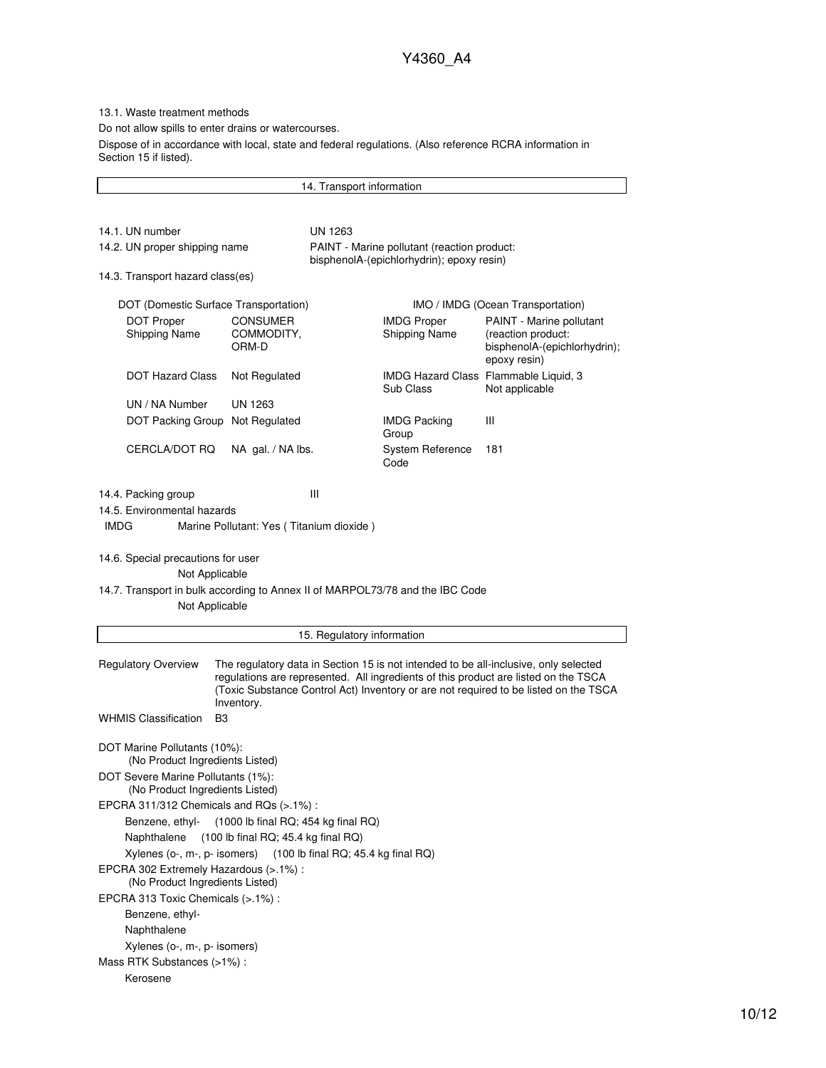13.1. Waste treatment methods

Do not allow spills to enter drains or watercourses.

Dispose of in accordance with local, state and federal regulations. (Also reference RCRA information in Section 15 if listed).

14. Transport information 14.1. UN number UN 1263 14.2. UN proper shipping name PAINT - Marine pollutant (reaction product: bisphenolA-(epichlorhydrin); epoxy resin) 14.3. Transport hazard class(es) DOT (Domestic Surface Transportation) IMO / IMDG (Ocean Transportation) DOT Proper Shipping Name CONSUMER COMMODITY, ORM-D IMDG Proper Shipping Name PAINT - Marine pollutant (reaction product: bisphenolA-(epichlorhydrin); epoxy resin) DOT Hazard Class Not Regulated IMDG Hazard Class Flammable Liquid, 3 Sub Class Not applicable UN / NA Number UN 1263 DOT Packing Group Not Regulated IMDG Packing Group III CERCLA/DOT RQ NA gal. / NA lbs. System Reference Code 181 14.4. Packing group III 14.5. Environmental hazards IMDG Marine Pollutant: Yes ( Titanium dioxide ) 14.6. Special precautions for user Not Applicable 14.7. Transport in bulk according to Annex II of MARPOL73/78 and the IBC Code Not Applicable 15. Regulatory information Regulatory Overview The regulatory data in Section 15 is not intended to be all-inclusive, only selected regulations are represented. All ingredients of this product are listed on the TSCA (Toxic Substance Control Act) Inventory or are not required to be listed on the TSCA Inventory. WHMIS Classification B3 DOT Marine Pollutants (10%): (No Product Ingredients Listed) DOT Severe Marine Pollutants (1%): (No Product Ingredients Listed) EPCRA 311/312 Chemicals and RQs (>.1%) : Benzene, ethyl- (1000 lb final RQ; 454 kg final RQ) Naphthalene (100 lb final RQ; 45.4 kg final RQ) Xylenes (o-, m-, p- isomers) (100 lb final RQ; 45.4 kg final RQ) EPCRA 302 Extremely Hazardous (>.1%) : (No Product Ingredients Listed) EPCRA 313 Toxic Chemicals (>.1%) : Benzene, ethyl-Naphthalene Xylenes (o-, m-, p- isomers) Mass RTK Substances (>1%) : Kerosene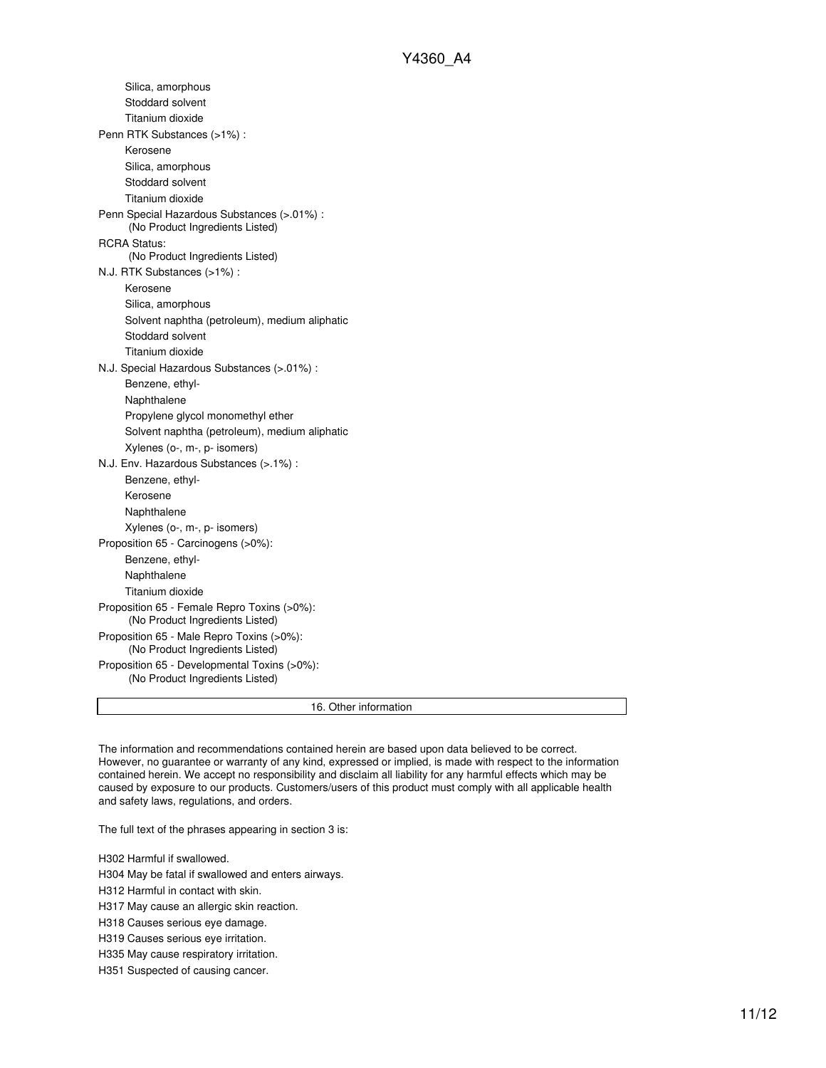| Proposition 65 - Male Repro Toxins (>0%):<br>(No Product Ingredients Listed)<br>Proposition 65 - Developmental Toxins (>0%):<br>(No Product Ingredients Listed) |  |
|-----------------------------------------------------------------------------------------------------------------------------------------------------------------|--|
|                                                                                                                                                                 |  |
|                                                                                                                                                                 |  |
| (No Product Ingredients Listed)                                                                                                                                 |  |
| Proposition 65 - Female Repro Toxins (>0%):                                                                                                                     |  |
| Titanium dioxide                                                                                                                                                |  |
| Naphthalene                                                                                                                                                     |  |
| Benzene, ethyl-                                                                                                                                                 |  |
| Proposition 65 - Carcinogens (>0%):                                                                                                                             |  |
| Xylenes (o-, m-, p- isomers)                                                                                                                                    |  |
| Naphthalene                                                                                                                                                     |  |
| Kerosene                                                                                                                                                        |  |
| Benzene, ethyl-                                                                                                                                                 |  |
| N.J. Env. Hazardous Substances (>.1%) :                                                                                                                         |  |
| Xylenes (o-, m-, p- isomers)                                                                                                                                    |  |
| Solvent naphtha (petroleum), medium aliphatic                                                                                                                   |  |
| Propylene glycol monomethyl ether                                                                                                                               |  |
| Naphthalene                                                                                                                                                     |  |
| Benzene, ethyl-                                                                                                                                                 |  |
| N.J. Special Hazardous Substances (>.01%) :                                                                                                                     |  |
| Titanium dioxide                                                                                                                                                |  |
| Stoddard solvent                                                                                                                                                |  |
| Solvent naphtha (petroleum), medium aliphatic                                                                                                                   |  |
| Silica, amorphous                                                                                                                                               |  |
| Kerosene                                                                                                                                                        |  |
| N.J. RTK Substances (>1%):                                                                                                                                      |  |
| <b>RCRA Status:</b><br>(No Product Ingredients Listed)                                                                                                          |  |
| (No Product Ingredients Listed)                                                                                                                                 |  |
| Penn Special Hazardous Substances (>.01%) :                                                                                                                     |  |
| Titanium dioxide                                                                                                                                                |  |
| Stoddard solvent                                                                                                                                                |  |
| Silica, amorphous                                                                                                                                               |  |
| Kerosene                                                                                                                                                        |  |
| Penn RTK Substances (>1%):                                                                                                                                      |  |
| Titanium dioxide                                                                                                                                                |  |
| Stoddard solvent                                                                                                                                                |  |
| Silica, amorphous                                                                                                                                               |  |

The information and recommendations contained herein are based upon data believed to be correct. However, no guarantee or warranty of any kind, expressed or implied, is made with respect to the information contained herein. We accept no responsibility and disclaim all liability for any harmful effects which may be caused by exposure to our products. Customers/users of this product must comply with all applicable health and safety laws, regulations, and orders.

The full text of the phrases appearing in section 3 is:

H302 Harmful if swallowed.

H304 May be fatal if swallowed and enters airways.

H312 Harmful in contact with skin.

H317 May cause an allergic skin reaction.

H318 Causes serious eye damage.

H319 Causes serious eye irritation.

H335 May cause respiratory irritation.

H351 Suspected of causing cancer.